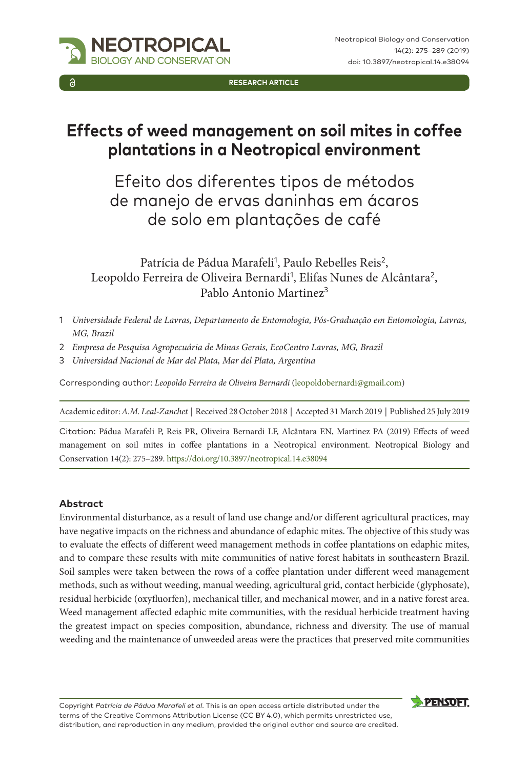

**RESEARCH ARTICLE**

# **Effects of weed management on soil mites in coffee plantations in a Neotropical environment**

Efeito dos diferentes tipos de métodos de manejo de ervas daninhas em ácaros de solo em plantações de café

Patrícia de Pádua Marafeli<sup>1</sup>, Paulo Rebelles Reis<sup>2</sup>, Leopoldo Ferreira de Oliveira Bernardi<sup>1</sup>, Elifas Nunes de Alcântara<sup>2</sup>, Pablo Antonio Martinez<sup>3</sup>

- 1 *Universidade Federal de Lavras, Departamento de Entomologia, Pós-Graduação em Entomologia, Lavras, MG, Brazil*
- 2 *Empresa de Pesquisa Agropecuária de Minas Gerais, EcoCentro Lavras, MG, Brazil*
- 3 *Universidad Nacional de Mar del Plata, Mar del Plata, Argentina*

Corresponding author: *Leopoldo Ferreira de Oliveira Bernardi* ([leopoldobernardi@gmail.com](mailto:leopoldobernardi@gmail.com))

Academic editor: *A.M. Leal-Zanchet* | Received 28 October 2018 | Accepted 31 March 2019 | Published 25 July 2019

Citation: Pádua Marafeli P, Reis PR, Oliveira Bernardi LF, Alcântara EN, Martinez PA (2019) Effects of weed management on soil mites in coffee plantations in a Neotropical environment. Neotropical Biology and Conservation 14(2): 275–289. <https://doi.org/10.3897/neotropical.14.e38094>

## **Abstract**

Environmental disturbance, as a result of land use change and/or different agricultural practices, may have negative impacts on the richness and abundance of edaphic mites. The objective of this study was to evaluate the effects of different weed management methods in coffee plantations on edaphic mites, and to compare these results with mite communities of native forest habitats in southeastern Brazil. Soil samples were taken between the rows of a coffee plantation under different weed management methods, such as without weeding, manual weeding, agricultural grid, contact herbicide (glyphosate), residual herbicide (oxyfluorfen), mechanical tiller, and mechanical mower, and in a native forest area. Weed management affected edaphic mite communities, with the residual herbicide treatment having the greatest impact on species composition, abundance, richness and diversity. The use of manual weeding and the maintenance of unweeded areas were the practices that preserved mite communities

Copyright *Patrícia de Pádua Marafeli et al*. This is an open access article distributed under the terms of the [Creative Commons Attribution License \(CC BY 4.0\)](http://creativecommons.org/licenses/by/4.0/), which permits unrestricted use, distribution, and reproduction in any medium, provided the original author and source are credited.

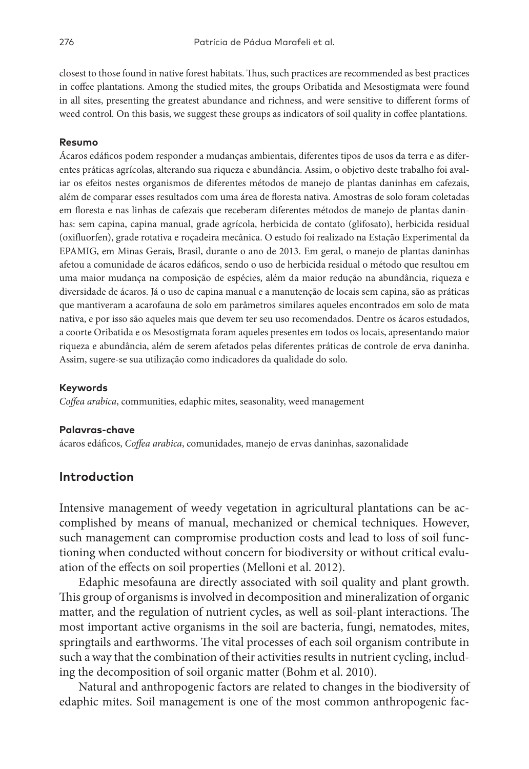closest to those found in native forest habitats. Thus, such practices are recommended as best practices in coffee plantations. Among the studied mites, the groups Oribatida and Mesostigmata were found in all sites, presenting the greatest abundance and richness, and were sensitive to different forms of weed control. On this basis, we suggest these groups as indicators of soil quality in coffee plantations.

#### **Resumo**

Ácaros edáficos podem responder a mudanças ambientais, diferentes tipos de usos da terra e as diferentes práticas agrícolas, alterando sua riqueza e abundância. Assim, o objetivo deste trabalho foi avaliar os efeitos nestes organismos de diferentes métodos de manejo de plantas daninhas em cafezais, além de comparar esses resultados com uma área de floresta nativa. Amostras de solo foram coletadas em floresta e nas linhas de cafezais que receberam diferentes métodos de manejo de plantas daninhas: sem capina, capina manual, grade agrícola, herbicida de contato (glifosato), herbicida residual (oxifluorfen), grade rotativa e roçadeira mecânica. O estudo foi realizado na Estação Experimental da EPAMIG, em Minas Gerais, Brasil, durante o ano de 2013. Em geral, o manejo de plantas daninhas afetou a comunidade de ácaros edáficos, sendo o uso de herbicida residual o método que resultou em uma maior mudança na composição de espécies, além da maior redução na abundância, riqueza e diversidade de ácaros. Já o uso de capina manual e a manutenção de locais sem capina, são as práticas que mantiveram a acarofauna de solo em parâmetros similares aqueles encontrados em solo de mata nativa, e por isso são aqueles mais que devem ter seu uso recomendados. Dentre os ácaros estudados, a coorte Oribatida e os Mesostigmata foram aqueles presentes em todos os locais, apresentando maior riqueza e abundância, além de serem afetados pelas diferentes práticas de controle de erva daninha. Assim, sugere-se sua utilização como indicadores da qualidade do solo.

#### **Keywords**

*Coffea arabica*, communities, edaphic mites, seasonality, weed management

#### **Palavras-chave**

ácaros edáficos, *Coffea arabica*, comunidades, manejo de ervas daninhas, sazonalidade

## **Introduction**

Intensive management of weedy vegetation in agricultural plantations can be accomplished by means of manual, mechanized or chemical techniques. However, such management can compromise production costs and lead to loss of soil functioning when conducted without concern for biodiversity or without critical evaluation of the effects on soil properties (Melloni et al. 2012).

Edaphic mesofauna are directly associated with soil quality and plant growth. This group of organisms is involved in decomposition and mineralization of organic matter, and the regulation of nutrient cycles, as well as soil-plant interactions. The most important active organisms in the soil are bacteria, fungi, nematodes, mites, springtails and earthworms. The vital processes of each soil organism contribute in such a way that the combination of their activities results in nutrient cycling, including the decomposition of soil organic matter (Bohm et al. 2010).

Natural and anthropogenic factors are related to changes in the biodiversity of edaphic mites. Soil management is one of the most common anthropogenic fac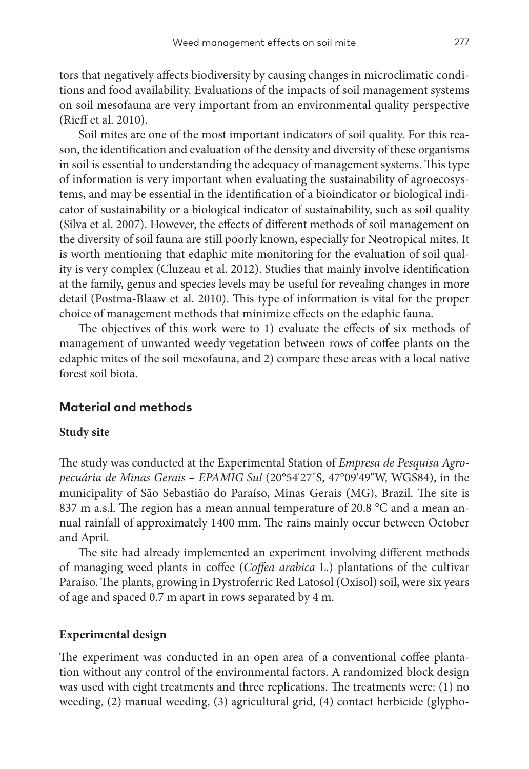tors that negatively affects biodiversity by causing changes in microclimatic conditions and food availability. Evaluations of the impacts of soil management systems on soil mesofauna are very important from an environmental quality perspective (Rieff et al. 2010).

Soil mites are one of the most important indicators of soil quality. For this reason, the identification and evaluation of the density and diversity of these organisms in soil is essential to understanding the adequacy of management systems. This type of information is very important when evaluating the sustainability of agroecosystems, and may be essential in the identification of a bioindicator or biological indicator of sustainability or a biological indicator of sustainability, such as soil quality (Silva et al. 2007). However, the effects of different methods of soil management on the diversity of soil fauna are still poorly known, especially for Neotropical mites. It is worth mentioning that edaphic mite monitoring for the evaluation of soil quality is very complex (Cluzeau et al. 2012). Studies that mainly involve identification at the family, genus and species levels may be useful for revealing changes in more detail (Postma-Blaaw et al. 2010). This type of information is vital for the proper choice of management methods that minimize effects on the edaphic fauna.

The objectives of this work were to 1) evaluate the effects of six methods of management of unwanted weedy vegetation between rows of coffee plants on the edaphic mites of the soil mesofauna, and 2) compare these areas with a local native forest soil biota.

## **Material and methods**

#### **Study site**

The study was conducted at the Experimental Station of *Empresa de Pesquisa Agropecuária de Minas Gerais – EPAMIG Sul* (20°54'27"S, 47°09'49"W, WGS84), in the municipality of São Sebastião do Paraíso, Minas Gerais (MG), Brazil. The site is 837 m a.s.l. The region has a mean annual temperature of 20.8 °C and a mean annual rainfall of approximately 1400 mm. The rains mainly occur between October and April.

The site had already implemented an experiment involving different methods of managing weed plants in coffee (*Coffea arabica* L.) plantations of the cultivar Paraíso. The plants, growing in Dystroferric Red Latosol (Oxisol) soil, were six years of age and spaced 0.7 m apart in rows separated by 4 m.

#### **Experimental design**

The experiment was conducted in an open area of a conventional coffee plantation without any control of the environmental factors. A randomized block design was used with eight treatments and three replications. The treatments were: (1) no weeding, (2) manual weeding, (3) agricultural grid, (4) contact herbicide (glypho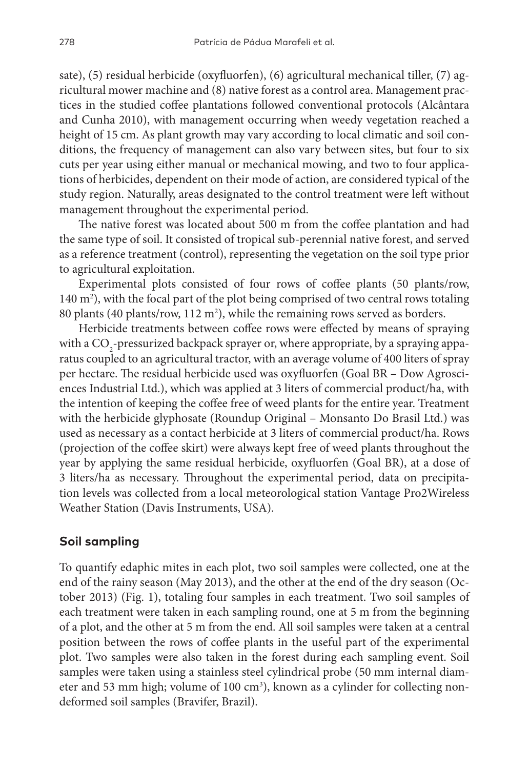sate), (5) residual herbicide (oxyfluorfen), (6) agricultural mechanical tiller, (7) agricultural mower machine and (8) native forest as a control area. Management practices in the studied coffee plantations followed conventional protocols (Alcântara and Cunha 2010), with management occurring when weedy vegetation reached a height of 15 cm. As plant growth may vary according to local climatic and soil conditions, the frequency of management can also vary between sites, but four to six cuts per year using either manual or mechanical mowing, and two to four applications of herbicides, dependent on their mode of action, are considered typical of the study region. Naturally, areas designated to the control treatment were left without management throughout the experimental period.

The native forest was located about 500 m from the coffee plantation and had the same type of soil. It consisted of tropical sub-perennial native forest, and served as a reference treatment (control), representing the vegetation on the soil type prior to agricultural exploitation.

Experimental plots consisted of four rows of coffee plants (50 plants/row, 140 m<sup>2</sup>), with the focal part of the plot being comprised of two central rows totaling 80 plants (40 plants/row,  $112 \text{ m}^2$ ), while the remaining rows served as borders.

Herbicide treatments between coffee rows were effected by means of spraying with a  $\mathrm{CO}_2$ -pressurized backpack sprayer or, where appropriate, by a spraying apparatus coupled to an agricultural tractor, with an average volume of 400 liters of spray per hectare. The residual herbicide used was oxyfluorfen (Goal BR – Dow Agrosciences Industrial Ltd.), which was applied at 3 liters of commercial product/ha, with the intention of keeping the coffee free of weed plants for the entire year. Treatment with the herbicide glyphosate (Roundup Original – Monsanto Do Brasil Ltd.) was used as necessary as a contact herbicide at 3 liters of commercial product/ha. Rows (projection of the coffee skirt) were always kept free of weed plants throughout the year by applying the same residual herbicide, oxyfluorfen (Goal BR), at a dose of 3 liters/ha as necessary. Throughout the experimental period, data on precipitation levels was collected from a local meteorological station Vantage Pro2Wireless Weather Station (Davis Instruments, USA).

## **Soil sampling**

To quantify edaphic mites in each plot, two soil samples were collected, one at the end of the rainy season (May 2013), and the other at the end of the dry season (October 2013) (Fig. 1), totaling four samples in each treatment. Two soil samples of each treatment were taken in each sampling round, one at 5 m from the beginning of a plot, and the other at 5 m from the end. All soil samples were taken at a central position between the rows of coffee plants in the useful part of the experimental plot. Two samples were also taken in the forest during each sampling event. Soil samples were taken using a stainless steel cylindrical probe (50 mm internal diameter and 53 mm high; volume of 100 cm<sup>3</sup>), known as a cylinder for collecting nondeformed soil samples (Bravifer, Brazil).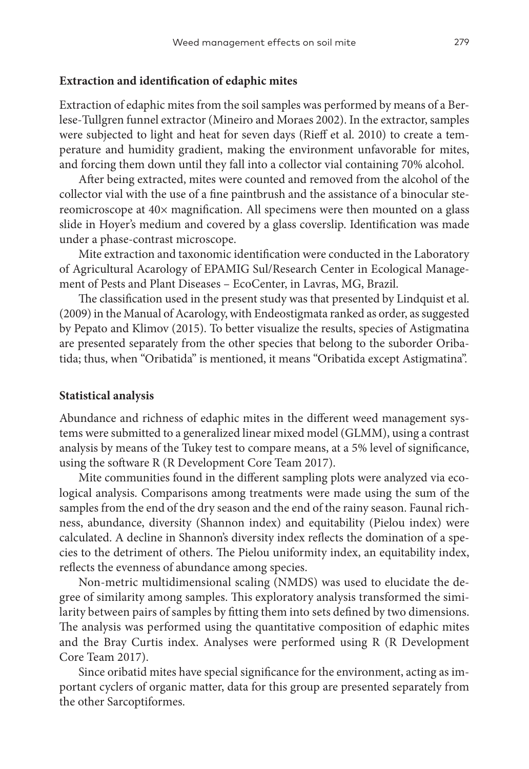#### **Extraction and identification of edaphic mites**

Extraction of edaphic mites from the soil samples was performed by means of a Berlese-Tullgren funnel extractor (Mineiro and Moraes 2002). In the extractor, samples were subjected to light and heat for seven days (Rieff et al. 2010) to create a temperature and humidity gradient, making the environment unfavorable for mites, and forcing them down until they fall into a collector vial containing 70% alcohol.

After being extracted, mites were counted and removed from the alcohol of the collector vial with the use of a fine paintbrush and the assistance of a binocular stereomicroscope at 40× magnification. All specimens were then mounted on a glass slide in Hoyer's medium and covered by a glass coverslip. Identification was made under a phase-contrast microscope.

Mite extraction and taxonomic identification were conducted in the Laboratory of Agricultural Acarology of EPAMIG Sul/Research Center in Ecological Management of Pests and Plant Diseases – EcoCenter, in Lavras, MG, Brazil.

The classification used in the present study was that presented by Lindquist et al. (2009) in the Manual of Acarology, with Endeostigmata ranked as order, as suggested by Pepato and Klimov (2015). To better visualize the results, species of Astigmatina are presented separately from the other species that belong to the suborder Oribatida; thus, when "Oribatida" is mentioned, it means "Oribatida except Astigmatina".

#### **Statistical analysis**

Abundance and richness of edaphic mites in the different weed management systems were submitted to a generalized linear mixed model (GLMM), using a contrast analysis by means of the Tukey test to compare means, at a 5% level of significance, using the software R (R Development Core Team 2017).

Mite communities found in the different sampling plots were analyzed via ecological analysis. Comparisons among treatments were made using the sum of the samples from the end of the dry season and the end of the rainy season. Faunal richness, abundance, diversity (Shannon index) and equitability (Pielou index) were calculated. A decline in Shannon's diversity index reflects the domination of a species to the detriment of others. The Pielou uniformity index, an equitability index, reflects the evenness of abundance among species.

Non-metric multidimensional scaling (NMDS) was used to elucidate the degree of similarity among samples. This exploratory analysis transformed the similarity between pairs of samples by fitting them into sets defined by two dimensions. The analysis was performed using the quantitative composition of edaphic mites and the Bray Curtis index. Analyses were performed using R (R Development Core Team 2017).

Since oribatid mites have special significance for the environment, acting as important cyclers of organic matter, data for this group are presented separately from the other Sarcoptiformes.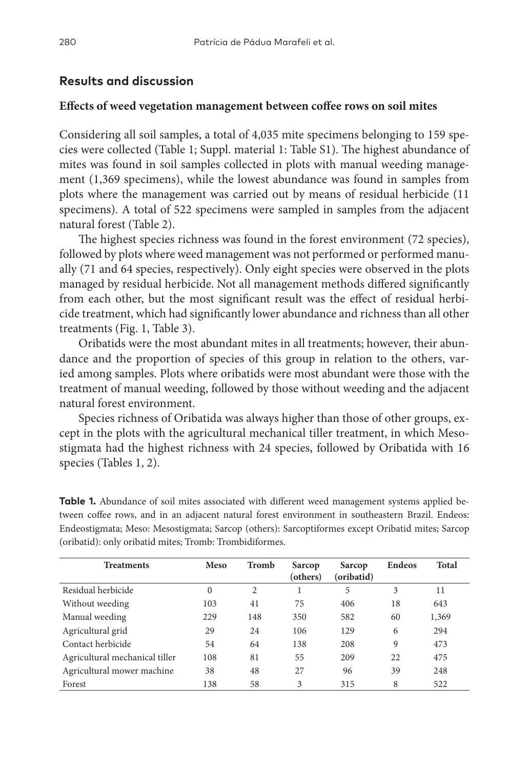## **Results and discussion**

#### **Effects of weed vegetation management between coffee rows on soil mites**

Considering all soil samples, a total of 4,035 mite specimens belonging to 159 species were collected (Table 1; Suppl. material 1: Table S1). The highest abundance of mites was found in soil samples collected in plots with manual weeding management (1,369 specimens), while the lowest abundance was found in samples from plots where the management was carried out by means of residual herbicide (11 specimens). A total of 522 specimens were sampled in samples from the adjacent natural forest (Table 2).

The highest species richness was found in the forest environment (72 species), followed by plots where weed management was not performed or performed manually (71 and 64 species, respectively). Only eight species were observed in the plots managed by residual herbicide. Not all management methods differed significantly from each other, but the most significant result was the effect of residual herbicide treatment, which had significantly lower abundance and richness than all other treatments (Fig. 1, Table 3).

Oribatids were the most abundant mites in all treatments; however, their abundance and the proportion of species of this group in relation to the others, varied among samples. Plots where oribatids were most abundant were those with the treatment of manual weeding, followed by those without weeding and the adjacent natural forest environment.

Species richness of Oribatida was always higher than those of other groups, except in the plots with the agricultural mechanical tiller treatment, in which Mesostigmata had the highest richness with 24 species, followed by Oribatida with 16 species (Tables 1, 2).

| <b>Table 1.</b> Abundance of soil mites associated with different weed management systems applied be- |
|-------------------------------------------------------------------------------------------------------|
| tween coffee rows, and in an adjacent natural forest environment in southeastern Brazil. Endeos:      |
| Endeostigmata; Meso: Mesostigmata; Sarcop (others): Sarcoptiformes except Oribatid mites; Sarcop      |
| (oribatid): only oribatid mites; Tromb: Trombidiformes.                                               |
|                                                                                                       |

| <b>Treatments</b>              | <b>Meso</b> | Tromb          | Sarcop<br>(others) | Sarcop<br>(oribatid) | <b>Endeos</b> | Total |
|--------------------------------|-------------|----------------|--------------------|----------------------|---------------|-------|
| Residual herbicide             | $\Omega$    | $\overline{c}$ |                    | 5                    | 3             | 11    |
| Without weeding                | 103         | 41             | 75                 | 406                  | 18            | 643   |
| Manual weeding                 | 229         | 148            | 350                | 582                  | 60            | 1,369 |
| Agricultural grid              | 29          | 24             | 106                | 129                  | 6             | 294   |
| Contact herbicide              | 54          | 64             | 138                | 208                  | 9             | 473   |
| Agricultural mechanical tiller | 108         | 81             | 55                 | 209                  | 22            | 475   |
| Agricultural mower machine     | 38          | 48             | 27                 | 96                   | 39            | 248   |
| Forest                         | 138         | 58             | 3                  | 315                  | 8             | 522   |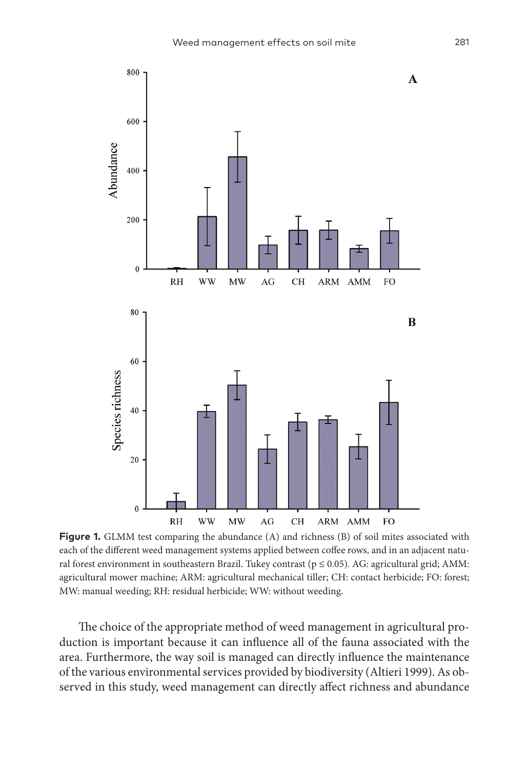

**Figure 1.** GLMM test comparing the abundance (A) and richness (B) of soil mites associated with each of the different weed management systems applied between coffee rows, and in an adjacent natural forest environment in southeastern Brazil. Tukey contrast ( $p \le 0.05$ ). AG: agricultural grid; AMM: agricultural mower machine; ARM: agricultural mechanical tiller; CH: contact herbicide; FO: forest; MW: manual weeding; RH: residual herbicide; WW: without weeding.

The choice of the appropriate method of weed management in agricultural production is important because it can influence all of the fauna associated with the area. Furthermore, the way soil is managed can directly influence the maintenance of the various environmental services provided by biodiversity (Altieri 1999). As observed in this study, weed management can directly affect richness and abundance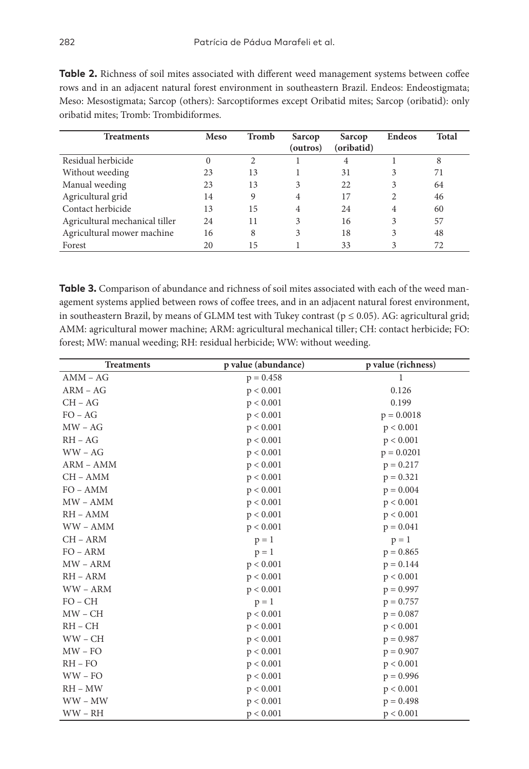| <b>Treatments</b>              | <b>Meso</b> | Tromb | Sarcop<br>(outros) | Sarcop<br>(oribatid) | <b>Endeos</b> | <b>Total</b> |
|--------------------------------|-------------|-------|--------------------|----------------------|---------------|--------------|
| Residual herbicide             | $\theta$    | 2     |                    | 4                    |               | 8            |
| Without weeding                | 23          | 13    |                    | 31                   | 3             | 71           |
| Manual weeding                 | 23          | 13    | 3                  | 22                   | 3             | 64           |
| Agricultural grid              | 14          | 9     | 4                  | 17                   |               | 46           |
| Contact herbicide              | 13          | 15    | 4                  | 24                   | 4             | 60           |
| Agricultural mechanical tiller | 24          | 11    | 3                  | 16                   | 3             | 57           |
| Agricultural mower machine     | 16          | 8     |                    | 18                   |               | 48           |

**Table 2.** Richness of soil mites associated with different weed management systems between coffee rows and in an adjacent natural forest environment in southeastern Brazil. Endeos: Endeostigmata; Meso: Mesostigmata; Sarcop (others): Sarcoptiformes except Oribatid mites; Sarcop (oribatid): only

**Table 3.** Comparison of abundance and richness of soil mites associated with each of the weed management systems applied between rows of coffee trees, and in an adjacent natural forest environment, in southeastern Brazil, by means of GLMM test with Tukey contrast ( $p \le 0.05$ ). AG: agricultural grid; AMM: agricultural mower machine; ARM: agricultural mechanical tiller; CH: contact herbicide; FO: forest; MW: manual weeding; RH: residual herbicide; WW: without weeding.

Forest 20 15 1 33 3 72

| <b>Treatments</b> | p value (abundance) | p value (richness) |
|-------------------|---------------------|--------------------|
| $AMM - AG$        | $p = 0.458$         | 1                  |
| $ARM - AG$        | p < 0.001           | 0.126              |
| $CH - AG$         | p < 0.001           | 0.199              |
| $FO - AG$         | p < 0.001           | $p = 0.0018$       |
| $MW - AG$         | p < 0.001           | p < 0.001          |
| $RH - AG$         | p < 0.001           | p < 0.001          |
| $WW - AG$         | p < 0.001           | $p = 0.0201$       |
| ARM - AMM         | p < 0.001           | $p = 0.217$        |
| CH - AMM          | p < 0.001           | $p = 0.321$        |
| $FO - AMM$        | p < 0.001           | $p = 0.004$        |
| $MW - AMM$        | p < 0.001           | p < 0.001          |
| $RH - AMM$        | p < 0.001           | p < 0.001          |
| WW-AMM            | p < 0.001           | $p = 0.041$        |
| CH - ARM          | $p = 1$             | $p = 1$            |
| $FO - ARM$        | $p = 1$             | $p = 0.865$        |
| MW - ARM          | p < 0.001           | $p = 0.144$        |
| $RH - ARM$        | p < 0.001           | p < 0.001          |
| $WW - ARM$        | p < 0.001           | $p = 0.997$        |
| $FO - CH$         | $p = 1$             | $p = 0.757$        |
| $MW - CH$         | p < 0.001           | $p = 0.087$        |
| $RH - CH$         | p < 0.001           | p < 0.001          |
| $WW - CH$         | p < 0.001           | $p = 0.987$        |
| $MW - FO$         | p < 0.001           | $p = 0.907$        |
| $RH - FO$         | p < 0.001           | p < 0.001          |
| $WW - FO$         | p < 0.001           | $p = 0.996$        |
| RH – MW           | p < 0.001           | p < 0.001          |
| $WW - MW$         | p < 0.001           | $p = 0.498$        |
| $WW - RH$         | p < 0.001           | p < 0.001          |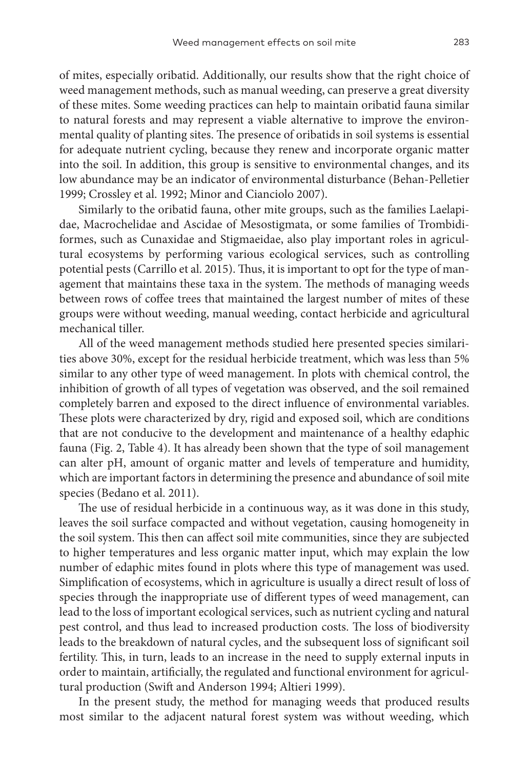of mites, especially oribatid. Additionally, our results show that the right choice of weed management methods, such as manual weeding, can preserve a great diversity of these mites. Some weeding practices can help to maintain oribatid fauna similar to natural forests and may represent a viable alternative to improve the environmental quality of planting sites. The presence of oribatids in soil systems is essential for adequate nutrient cycling, because they renew and incorporate organic matter into the soil. In addition, this group is sensitive to environmental changes, and its low abundance may be an indicator of environmental disturbance (Behan-Pelletier 1999; Crossley et al. 1992; Minor and Cianciolo 2007).

Similarly to the oribatid fauna, other mite groups, such as the families Laelapidae, Macrochelidae and Ascidae of Mesostigmata, or some families of Trombidiformes, such as Cunaxidae and Stigmaeidae, also play important roles in agricultural ecosystems by performing various ecological services, such as controlling potential pests (Carrillo et al. 2015). Thus, it is important to opt for the type of management that maintains these taxa in the system. The methods of managing weeds between rows of coffee trees that maintained the largest number of mites of these groups were without weeding, manual weeding, contact herbicide and agricultural mechanical tiller.

All of the weed management methods studied here presented species similarities above 30%, except for the residual herbicide treatment, which was less than 5% similar to any other type of weed management. In plots with chemical control, the inhibition of growth of all types of vegetation was observed, and the soil remained completely barren and exposed to the direct influence of environmental variables. These plots were characterized by dry, rigid and exposed soil, which are conditions that are not conducive to the development and maintenance of a healthy edaphic fauna (Fig. 2, Table 4). It has already been shown that the type of soil management can alter pH, amount of organic matter and levels of temperature and humidity, which are important factors in determining the presence and abundance of soil mite species (Bedano et al. 2011).

The use of residual herbicide in a continuous way, as it was done in this study, leaves the soil surface compacted and without vegetation, causing homogeneity in the soil system. This then can affect soil mite communities, since they are subjected to higher temperatures and less organic matter input, which may explain the low number of edaphic mites found in plots where this type of management was used. Simplification of ecosystems, which in agriculture is usually a direct result of loss of species through the inappropriate use of different types of weed management, can lead to the loss of important ecological services, such as nutrient cycling and natural pest control, and thus lead to increased production costs. The loss of biodiversity leads to the breakdown of natural cycles, and the subsequent loss of significant soil fertility. This, in turn, leads to an increase in the need to supply external inputs in order to maintain, artificially, the regulated and functional environment for agricultural production (Swift and Anderson 1994; Altieri 1999).

In the present study, the method for managing weeds that produced results most similar to the adjacent natural forest system was without weeding, which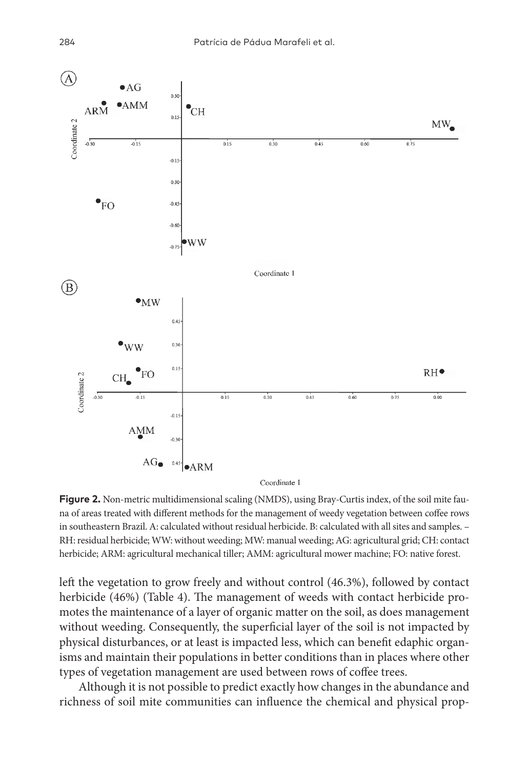

**Figure 2.** Non-metric multidimensional scaling (NMDS), using Bray-Curtis index, of the soil mite fauna of areas treated with different methods for the management of weedy vegetation between coffee rows in southeastern Brazil. A: calculated without residual herbicide. B: calculated with all sites and samples. – RH: residual herbicide; WW: without weeding; MW: manual weeding; AG: agricultural grid; CH: contact herbicide; ARM: agricultural mechanical tiller; AMM: agricultural mower machine; FO: native forest.

left the vegetation to grow freely and without control (46.3%), followed by contact herbicide (46%) (Table 4). The management of weeds with contact herbicide promotes the maintenance of a layer of organic matter on the soil, as does management without weeding. Consequently, the superficial layer of the soil is not impacted by physical disturbances, or at least is impacted less, which can benefit edaphic organisms and maintain their populations in better conditions than in places where other types of vegetation management are used between rows of coffee trees.

Although it is not possible to predict exactly how changes in the abundance and richness of soil mite communities can influence the chemical and physical prop-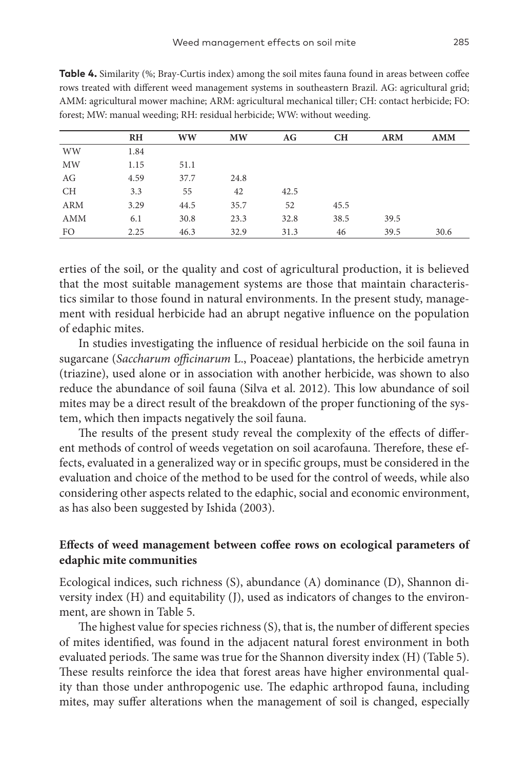|            | <b>RH</b> | WW   | <b>MW</b> | AG   | <b>CH</b> | <b>ARM</b> | <b>AMM</b> |
|------------|-----------|------|-----------|------|-----------|------------|------------|
| <b>WW</b>  | 1.84      |      |           |      |           |            |            |
| MW         | 1.15      | 51.1 |           |      |           |            |            |
| AG         | 4.59      | 37.7 | 24.8      |      |           |            |            |
| <b>CH</b>  | 3.3       | 55   | 42        | 42.5 |           |            |            |
| <b>ARM</b> | 3.29      | 44.5 | 35.7      | 52   | 45.5      |            |            |
| <b>AMM</b> | 6.1       | 30.8 | 23.3      | 32.8 | 38.5      | 39.5       |            |
| FO.        | 2.25      | 46.3 | 32.9      | 31.3 | 46        | 39.5       | 30.6       |

**Table 4.** Similarity (%; Bray-Curtis index) among the soil mites fauna found in areas between coffee rows treated with different weed management systems in southeastern Brazil. AG: agricultural grid; AMM: agricultural mower machine; ARM: agricultural mechanical tiller; CH: contact herbicide; FO: forest; MW: manual weeding; RH: residual herbicide; WW: without weeding.

erties of the soil, or the quality and cost of agricultural production, it is believed that the most suitable management systems are those that maintain characteristics similar to those found in natural environments. In the present study, management with residual herbicide had an abrupt negative influence on the population of edaphic mites.

In studies investigating the influence of residual herbicide on the soil fauna in sugarcane (*Saccharum officinarum* L., Poaceae) plantations, the herbicide ametryn (triazine), used alone or in association with another herbicide, was shown to also reduce the abundance of soil fauna (Silva et al. 2012). This low abundance of soil mites may be a direct result of the breakdown of the proper functioning of the system, which then impacts negatively the soil fauna.

The results of the present study reveal the complexity of the effects of different methods of control of weeds vegetation on soil acarofauna. Therefore, these effects, evaluated in a generalized way or in specific groups, must be considered in the evaluation and choice of the method to be used for the control of weeds, while also considering other aspects related to the edaphic, social and economic environment, as has also been suggested by Ishida (2003).

## **Effects of weed management between coffee rows on ecological parameters of edaphic mite communities**

Ecological indices, such richness (S), abundance (A) dominance (D), Shannon diversity index (H) and equitability (J), used as indicators of changes to the environment, are shown in Table 5.

The highest value for species richness (S), that is, the number of different species of mites identified, was found in the adjacent natural forest environment in both evaluated periods. The same was true for the Shannon diversity index (H) (Table 5). These results reinforce the idea that forest areas have higher environmental quality than those under anthropogenic use. The edaphic arthropod fauna, including mites, may suffer alterations when the management of soil is changed, especially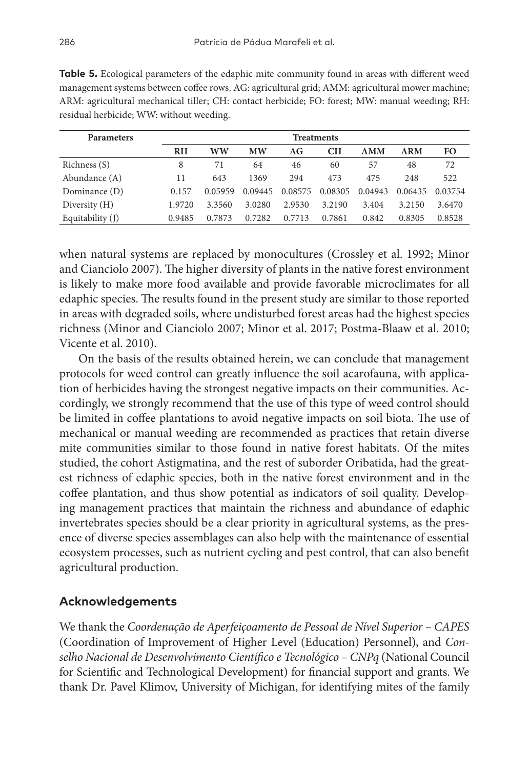| <b>Parameters</b> | <b>Treatments</b> |         |           |         |         |            |            |           |
|-------------------|-------------------|---------|-----------|---------|---------|------------|------------|-----------|
|                   | RH                | ww      | <b>MW</b> | AG      | CН      | <b>AMM</b> | <b>ARM</b> | <b>FO</b> |
| Richness (S)      | 8                 | 71      | 64        | 46      | 60      | 57         | 48         | 72        |
| Abundance (A)     | 11                | 643     | 1369      | 294     | 473     | 475        | 248        | 522       |
| Dominance (D)     | 0.157             | 0.05959 | 0.09445   | 0.08575 | 0.08305 | 0.04943    | 0.06435    | 0.03754   |
| Diversity $(H)$   | 1.9720            | 3.3560  | 3.0280    | 2.9530  | 3.2190  | 3.404      | 3.2150     | 3.6470    |
| Equitability (J)  | 0.9485            | 0.7873  | 0.7282    | 0.7713  | 0.7861  | 0.842      | 0.8305     | 0.8528    |

**Table 5.** Ecological parameters of the edaphic mite community found in areas with different weed management systems between coffee rows. AG: agricultural grid; AMM: agricultural mower machine; ARM: agricultural mechanical tiller; CH: contact herbicide; FO: forest; MW: manual weeding; RH: residual herbicide; WW: without weeding.

when natural systems are replaced by monocultures (Crossley et al. 1992; Minor and Cianciolo 2007). The higher diversity of plants in the native forest environment is likely to make more food available and provide favorable microclimates for all edaphic species. The results found in the present study are similar to those reported in areas with degraded soils, where undisturbed forest areas had the highest species richness (Minor and Cianciolo 2007; Minor et al. 2017; Postma-Blaaw et al. 2010; Vicente et al. 2010).

On the basis of the results obtained herein, we can conclude that management protocols for weed control can greatly influence the soil acarofauna, with application of herbicides having the strongest negative impacts on their communities. Accordingly, we strongly recommend that the use of this type of weed control should be limited in coffee plantations to avoid negative impacts on soil biota. The use of mechanical or manual weeding are recommended as practices that retain diverse mite communities similar to those found in native forest habitats. Of the mites studied, the cohort Astigmatina, and the rest of suborder Oribatida, had the greatest richness of edaphic species, both in the native forest environment and in the coffee plantation, and thus show potential as indicators of soil quality. Developing management practices that maintain the richness and abundance of edaphic invertebrates species should be a clear priority in agricultural systems, as the presence of diverse species assemblages can also help with the maintenance of essential ecosystem processes, such as nutrient cycling and pest control, that can also benefit agricultural production.

## **Acknowledgements**

We thank the *Coordenação de Aperfeiçoamento de Pessoal de Nível Superior – CAPES* (Coordination of Improvement of Higher Level (Education) Personnel), and *Conselho Nacional de Desenvolvimento Científico e Tecnológico – CNPq* (National Council for Scientific and Technological Development) for financial support and grants. We thank Dr. Pavel Klimov, University of Michigan, for identifying mites of the family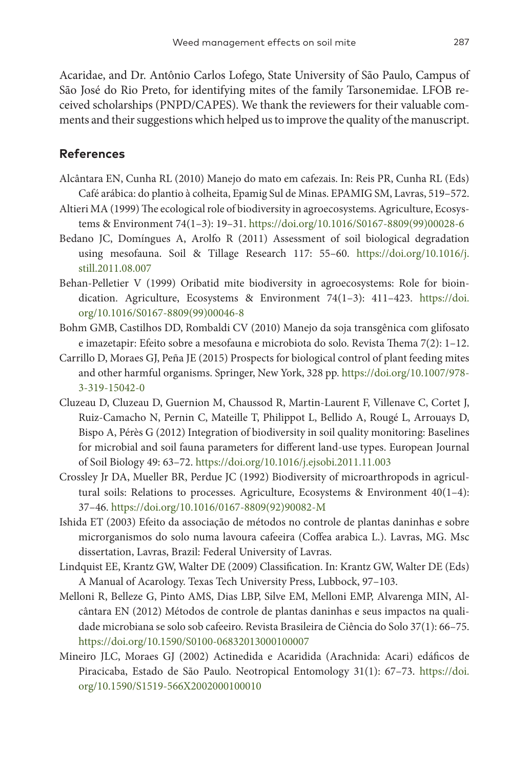Acaridae, and Dr. Antônio Carlos Lofego, State University of São Paulo, Campus of São José do Rio Preto, for identifying mites of the family Tarsonemidae. LFOB received scholarships (PNPD/CAPES). We thank the reviewers for their valuable comments and their suggestions which helped us to improve the quality of the manuscript.

## **References**

- Alcântara EN, Cunha RL (2010) Manejo do mato em cafezais. In: Reis PR, Cunha RL (Eds) Café arábica: do plantio à colheita, Epamig Sul de Minas. EPAMIG SM, Lavras, 519–572.
- Altieri MA (1999) The ecological role of biodiversity in agroecosystems. Agriculture, Ecosystems & Environment 74(1–3): 19–31. [https://doi.org/10.1016/S0167-8809\(99\)00028-6](https://doi.org/10.1016/S0167-8809(99)00028-6)
- Bedano JC, Domíngues A, Arolfo R (2011) Assessment of soil biological degradation using mesofauna. Soil & Tillage Research 117: 55–60. [https://doi.org/10.1016/j.](https://doi.org/10.1016/j.still.2011.08.007) [still.2011.08.007](https://doi.org/10.1016/j.still.2011.08.007)
- Behan-Pelletier V (1999) Oribatid mite biodiversity in agroecosystems: Role for bioindication. Agriculture, Ecosystems & Environment 74(1–3): 411–423. [https://doi.](https://doi.org/10.1016/S0167-8809(99)00046-8) [org/10.1016/S0167-8809\(99\)00046-8](https://doi.org/10.1016/S0167-8809(99)00046-8)
- Bohm GMB, Castilhos DD, Rombaldi CV (2010) Manejo da soja transgênica com glifosato e imazetapir: Efeito sobre a mesofauna e microbiota do solo. Revista Thema 7(2): 1–12.
- Carrillo D, Moraes GJ, Peña JE (2015) Prospects for biological control of plant feeding mites and other harmful organisms. Springer, New York, 328 pp. [https://doi.org/10.1007/978-](https://doi.org/10.1007/978-3-319-15042-0) [3-319-15042-0](https://doi.org/10.1007/978-3-319-15042-0)
- Cluzeau D, Cluzeau D, Guernion M, Chaussod R, Martin-Laurent F, Villenave C, Cortet J, Ruiz-Camacho N, Pernin C, Mateille T, Philippot L, Bellido A, Rougé L, Arrouays D, Bispo A, Pérès G (2012) Integration of biodiversity in soil quality monitoring: Baselines for microbial and soil fauna parameters for different land-use types. European Journal of Soil Biology 49: 63–72.<https://doi.org/10.1016/j.ejsobi.2011.11.003>
- Crossley Jr DA, Mueller BR, Perdue JC (1992) Biodiversity of microarthropods in agricultural soils: Relations to processes. Agriculture, Ecosystems & Environment 40(1–4): 37–46. [https://doi.org/10.1016/0167-8809\(92\)90082-M](https://doi.org/10.1016/0167-8809(92)90082-M)
- Ishida ET (2003) Efeito da associação de métodos no controle de plantas daninhas e sobre microrganismos do solo numa lavoura cafeeira (Coffea arabica L.). Lavras, MG. Msc dissertation, Lavras, Brazil: Federal University of Lavras.
- Lindquist EE, Krantz GW, Walter DE (2009) Classification. In: Krantz GW, Walter DE (Eds) A Manual of Acarology. Texas Tech University Press, Lubbock, 97–103.
- Melloni R, Belleze G, Pinto AMS, Dias LBP, Silve EM, Melloni EMP, Alvarenga MIN, Alcântara EN (2012) Métodos de controle de plantas daninhas e seus impactos na qualidade microbiana se solo sob cafeeiro. Revista Brasileira de Ciência do Solo 37(1): 66–75. <https://doi.org/10.1590/S0100-06832013000100007>
- Mineiro JLC, Moraes GJ (2002) Actinedida e Acaridida (Arachnida: Acari) edáficos de Piracicaba, Estado de São Paulo. Neotropical Entomology 31(1): 67–73. [https://doi.](https://doi.org/10.1590/S1519-566X2002000100010) [org/10.1590/S1519-566X2002000100010](https://doi.org/10.1590/S1519-566X2002000100010)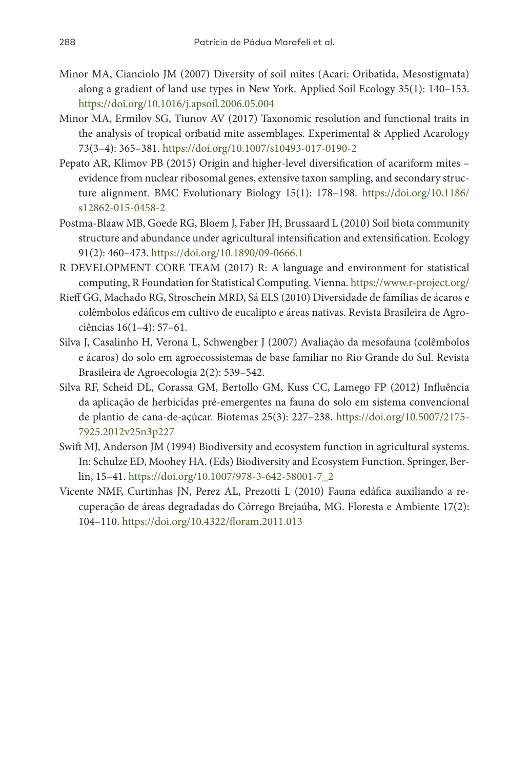- Minor MA, Cianciolo JM (2007) Diversity of soil mites (Acari: Oribatida, Mesostigmata) along a gradient of land use types in New York. Applied Soil Ecology 35(1): 140–153. <https://doi.org/10.1016/j.apsoil.2006.05.004>
- Minor MA, Ermilov SG, Tiunov AV (2017) Taxonomic resolution and functional traits in the analysis of tropical oribatid mite assemblages. Experimental & Applied Acarology 73(3–4): 365–381. <https://doi.org/10.1007/s10493-017-0190-2>
- Pepato AR, Klimov PB (2015) Origin and higher-level diversification of acariform mites evidence from nuclear ribosomal genes, extensive taxon sampling, and secondary structure alignment. BMC Evolutionary Biology 15(1): 178–198. [https://doi.org/10.1186/](https://doi.org/10.1186/s12862-015-0458-2) [s12862-015-0458-2](https://doi.org/10.1186/s12862-015-0458-2)
- Postma-Blaaw MB, Goede RG, Bloem J, Faber JH, Brussaard L (2010) Soil biota community structure and abundance under agricultural intensification and extensification. Ecology 91(2): 460–473. <https://doi.org/10.1890/09-0666.1>
- R DEVELOPMENT CORE TEAM (2017) R: A language and environment for statistical computing, R Foundation for Statistical Computing. Vienna.<https://www.r-project.org/>
- Rieff GG, Machado RG, Stroschein MRD, Sá ELS (2010) Diversidade de famílias de ácaros e colêmbolos edáficos em cultivo de eucalipto e áreas nativas. Revista Brasileira de Agrociências 16(1–4): 57–61.
- Silva J, Casalinho H, Verona L, Schwengber J (2007) Avaliação da mesofauna (colêmbolos e ácaros) do solo em agroecossistemas de base familiar no Rio Grande do Sul. Revista Brasileira de Agroecologia 2(2): 539–542.
- Silva RF, Scheid DL, Corassa GM, Bertollo GM, Kuss CC, Lamego FP (2012) Influência da aplicação de herbicidas pré-emergentes na fauna do solo em sistema convencional de plantio de cana-de-açúcar. Biotemas 25(3): 227–238. [https://doi.org/10.5007/2175-](https://doi.org/10.5007/2175-7925.2012v25n3p227) [7925.2012v25n3p227](https://doi.org/10.5007/2175-7925.2012v25n3p227)
- Swift MJ, Anderson JM (1994) Biodiversity and ecosystem function in agricultural systems. In: Schulze ED, Moohey HA. (Eds) Biodiversity and Ecosystem Function. Springer, Berlin, 15–41. [https://doi.org/10.1007/978-3-642-58001-7\\_2](https://doi.org/10.1007/978-3-642-58001-7_2)
- Vicente NMF, Curtinhas JN, Perez AL, Prezotti L (2010) Fauna edáfica auxiliando a recuperação de áreas degradadas do Córrego Brejaúba, MG. Floresta e Ambiente 17(2): 104–110. <https://doi.org/10.4322/floram.2011.013>